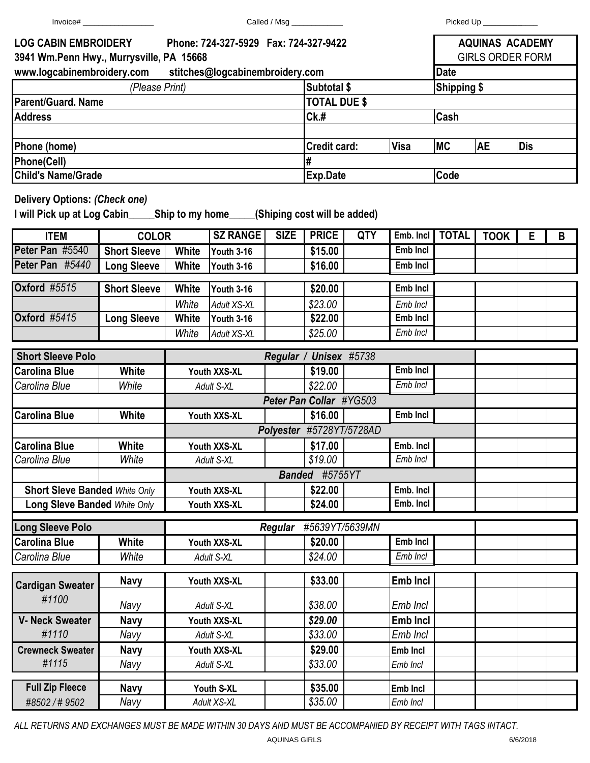|                                                                                                                   |                     | Called / Msg _____________   |                    |                                                |                                    |     | Picked Up _____________ |                                                   |             |            |   |  |
|-------------------------------------------------------------------------------------------------------------------|---------------------|------------------------------|--------------------|------------------------------------------------|------------------------------------|-----|-------------------------|---------------------------------------------------|-------------|------------|---|--|
| <b>LOG CABIN EMBROIDERY</b><br>Phone: 724-327-5929  Fax: 724-327-9422<br>3941 Wm.Penn Hwy., Murrysville, PA 15668 |                     |                              |                    |                                                |                                    |     |                         | <b>AQUINAS ACADEMY</b><br><b>GIRLS ORDER FORM</b> |             |            |   |  |
| www.logcabinembroidery.com stitches@logcabinembroidery.com                                                        |                     |                              |                    |                                                |                                    |     |                         | <b>Date</b>                                       |             |            |   |  |
| (Please Print)                                                                                                    |                     |                              |                    |                                                | Subtotal \$                        |     |                         | <b>Shipping \$</b>                                |             |            |   |  |
| <b>Parent/Guard, Name</b>                                                                                         |                     |                              |                    |                                                | <b>TOTAL DUE \$</b>                |     |                         |                                                   |             |            |   |  |
| <b>Address</b>                                                                                                    |                     |                              |                    |                                                | Ck.#                               |     |                         | Cash                                              |             |            |   |  |
| Phone (home)                                                                                                      |                     |                              |                    |                                                | <b>Visa</b><br><b>Credit card:</b> |     |                         | <b>MC</b>                                         | <b>AE</b>   | <b>Dis</b> |   |  |
| Phone(Cell)                                                                                                       |                     |                              |                    |                                                | #                                  |     |                         |                                                   |             |            |   |  |
| <b>Child's Name/Grade</b>                                                                                         |                     |                              |                    |                                                | Exp.Date<br>Code                   |     |                         |                                                   |             |            |   |  |
| <b>Delivery Options: (Check one)</b>                                                                              |                     |                              |                    |                                                |                                    |     |                         |                                                   |             |            |   |  |
| <b>ITEM</b>                                                                                                       | <b>COLOR</b>        |                              | <b>SZ RANGE</b>    | <b>SIZE</b>                                    | <b>PRICE</b>                       | QTY | Emb. Incl               | <b>TOTAL</b>                                      | <b>TOOK</b> | E          | B |  |
| Peter Pan #5540                                                                                                   | <b>Short Sleeve</b> | White                        | Youth 3-16         |                                                | \$15.00                            |     | <b>Emb Incl</b>         |                                                   |             |            |   |  |
| Peter Pan #5440                                                                                                   | <b>Long Sleeve</b>  | White                        | Youth 3-16         |                                                | \$16.00                            |     | Emb Incl                |                                                   |             |            |   |  |
| <b>Oxford #5515</b>                                                                                               | <b>Short Sleeve</b> | <b>White</b>                 | Youth 3-16         |                                                | \$20.00                            |     | Emb Incl                |                                                   |             |            |   |  |
|                                                                                                                   |                     | White                        | <b>Adult XS-XL</b> |                                                | \$23.00                            |     | Emb Incl                |                                                   |             |            |   |  |
| <b>Oxford #5415</b>                                                                                               | <b>Long Sleeve</b>  | White                        | Youth 3-16         |                                                | \$22.00                            |     | <b>Emb Incl</b>         |                                                   |             |            |   |  |
|                                                                                                                   |                     | White                        | <b>Adult XS-XL</b> |                                                | \$25.00                            |     | Emb Incl                |                                                   |             |            |   |  |
|                                                                                                                   |                     |                              |                    |                                                |                                    |     |                         |                                                   |             |            |   |  |
| <b>Short Sleeve Polo</b>                                                                                          |                     |                              |                    |                                                | Regular / Unisex #5738             |     | Emb Incl                |                                                   |             |            |   |  |
| <b>Carolina Blue</b>                                                                                              | <b>White</b>        | Youth XXS-XL                 |                    |                                                | \$19.00                            |     | Emb Incl                |                                                   |             |            |   |  |
| Carolina Blue                                                                                                     | White               | Adult S-XL                   |                    |                                                | \$22.00                            |     |                         |                                                   |             |            |   |  |
| <b>Carolina Blue</b>                                                                                              |                     |                              |                    | Peter Pan Collar #YG503<br>Emb Incl<br>\$16.00 |                                    |     |                         |                                                   |             |            |   |  |
|                                                                                                                   | Youth XXS-XL        |                              |                    |                                                |                                    |     |                         |                                                   |             |            |   |  |
|                                                                                                                   |                     |                              |                    | Polyester #5728YT/5728AD<br>Emb. Incl          |                                    |     |                         |                                                   |             |            |   |  |
| <b>Carolina Blue</b>                                                                                              | White               | Youth XXS-XL                 |                    |                                                | \$17.00                            |     | Emb Incl                |                                                   |             |            |   |  |
| Carolina Blue                                                                                                     | White               | Adult S-XL                   |                    |                                                | \$19.00<br>#5755YT                 |     |                         |                                                   |             |            |   |  |
|                                                                                                                   |                     |                              |                    | <b>Banded</b>                                  |                                    |     |                         |                                                   |             |            |   |  |
| <b>Short Sleve Banded White Only</b>                                                                              |                     | Youth XXS-XL<br>Youth XXS-XL |                    |                                                | \$22.00                            |     | Emb. Incl<br>Emb. Incl  |                                                   |             |            |   |  |
| <b>Long Sleve Banded White Only</b>                                                                               |                     |                              |                    |                                                | \$24.00                            |     |                         |                                                   |             |            |   |  |
| <b>Long Sleeve Polo</b>                                                                                           |                     |                              |                    | <b>Regular</b>                                 | #5639YT/5639MN                     |     |                         |                                                   |             |            |   |  |
| <b>Carolina Blue</b>                                                                                              | <b>White</b>        | Youth XXS-XL                 |                    |                                                | \$20.00                            |     | Emb Incl                |                                                   |             |            |   |  |
| Carolina Blue                                                                                                     | White               | Adult S-XL                   |                    |                                                | \$24.00                            |     | Emb Incl                |                                                   |             |            |   |  |
| <b>Cardigan Sweater</b>                                                                                           | <b>Navy</b>         | Youth XXS-XL                 |                    |                                                | \$33.00                            |     | Emb Incl                |                                                   |             |            |   |  |
| #1100                                                                                                             | Navy                | Adult S-XL                   |                    |                                                | \$38.00                            |     | Emb Incl                |                                                   |             |            |   |  |
| <b>V- Neck Sweater</b>                                                                                            | <b>Navy</b>         | Youth XXS-XL                 |                    |                                                | \$29.00                            |     | <b>Emb Incl</b>         |                                                   |             |            |   |  |
| #1110                                                                                                             | Navy                | Adult S-XL                   |                    |                                                | \$33.00                            |     | Emb Incl                |                                                   |             |            |   |  |
| <b>Crewneck Sweater</b>                                                                                           | <b>Navy</b>         | Youth XXS-XL                 |                    |                                                | \$29.00                            |     | Emb Incl                |                                                   |             |            |   |  |
| #1115                                                                                                             | Navy                | Adult S-XL                   |                    |                                                | \$33.00                            |     | Emb Incl                |                                                   |             |            |   |  |
|                                                                                                                   |                     |                              |                    |                                                |                                    |     |                         |                                                   |             |            |   |  |
| <b>Full Zip Fleece</b>                                                                                            | <b>Navy</b>         | Youth S-XL                   |                    |                                                | \$35.00                            |     | Emb Incl                |                                                   |             |            |   |  |
| #8502/#9502                                                                                                       | Navy                |                              | Adult XS-XL        |                                                | \$35.00                            |     | Emb Incl                |                                                   |             |            |   |  |

*ALL RETURNS AND EXCHANGES MUST BE MADE WITHIN 30 DAYS AND MUST BE ACCOMPANIED BY RECEIPT WITH TAGS INTACT.*